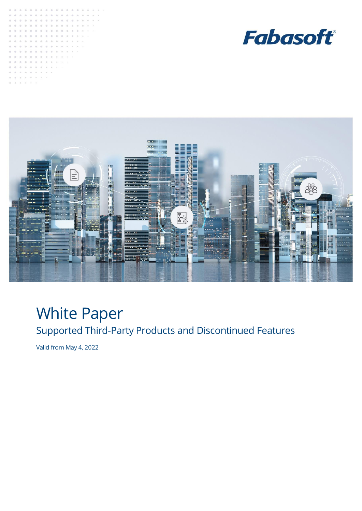





# White Paper

Supported Third-Party Products and Discontinued Features

Valid from May 4, 2022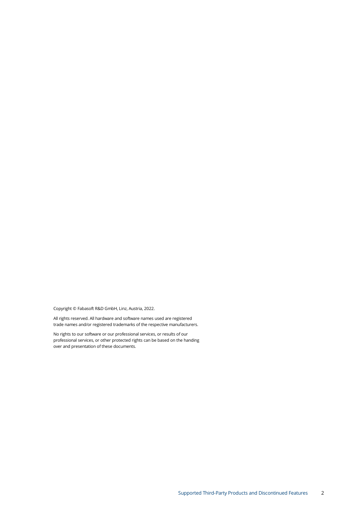Copyright © Fabasoft R&D GmbH, Linz, Austria, 2022.

All rights reserved. All hardware and software names used are registered trade names and/or registered trademarks of the respective manufacturers.

No rights to our software or our professional services, or results of our professional services, or other protected rights can be based on the handing over and presentation of these documents.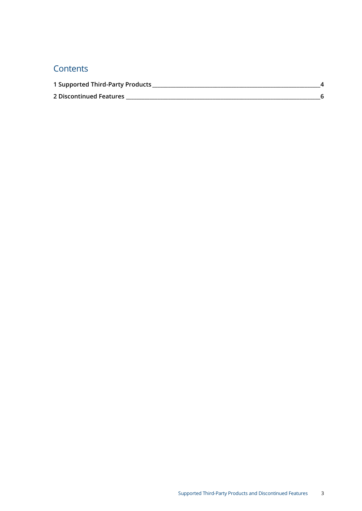# **Contents**

| 1 Supported Third-Party Products |  |
|----------------------------------|--|
| 2 Discontinued Features          |  |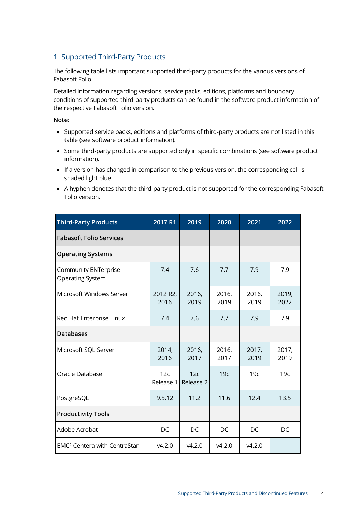### <span id="page-3-0"></span>1 Supported Third-Party Products

The following table lists important supported third-party products for the various versions of Fabasoft Folio.

Detailed information regarding versions, service packs, editions, platforms and boundary conditions of supported third-party products can be found in the software product information of the respective Fabasoft Folio version.

#### **Note:**

- Supported service packs, editions and platforms of third-party products are not listed in this table (see software product information).
- Some third-party products are supported only in specific combinations (see software product information).
- If a version has changed in comparison to the previous version, the corresponding cell is shaded light blue.
- A hyphen denotes that the third-party product is not supported for the corresponding Fabasoft Folio version.

| <b>Third-Party Products</b>                            | 2017 R1                       | 2019             | 2020          | 2021          | 2022          |
|--------------------------------------------------------|-------------------------------|------------------|---------------|---------------|---------------|
| <b>Fabasoft Folio Services</b>                         |                               |                  |               |               |               |
| <b>Operating Systems</b>                               |                               |                  |               |               |               |
| <b>Community ENTerprise</b><br><b>Operating System</b> | 7.4                           | 7.6              | 7.7           | 7.9           | 7.9           |
| Microsoft Windows Server                               | 2012 R <sub>2</sub> ,<br>2016 | 2016,<br>2019    | 2016,<br>2019 | 2016,<br>2019 | 2019,<br>2022 |
| Red Hat Enterprise Linux                               | 7.4                           | 7.6              | 7.7           | 7.9           | 7.9           |
| <b>Databases</b>                                       |                               |                  |               |               |               |
| Microsoft SQL Server                                   | 2014,<br>2016                 | 2016,<br>2017    | 2016,<br>2017 | 2017,<br>2019 | 2017,<br>2019 |
| Oracle Database                                        | 12c<br>Release 1              | 12c<br>Release 2 | 19c           | 19c           | 19c           |
| PostgreSQL                                             | 9.5.12                        | 11.2             | 11.6          | 12.4          | 13.5          |
| <b>Productivity Tools</b>                              |                               |                  |               |               |               |
| Adobe Acrobat                                          | DC                            | DC               | DC            | DC            | DC            |
| <b>EMC<sup>2</sup> Centera with CentraStar</b>         | V4.2.0                        | V4.2.0           | V4.2.0        | v4.2.0        |               |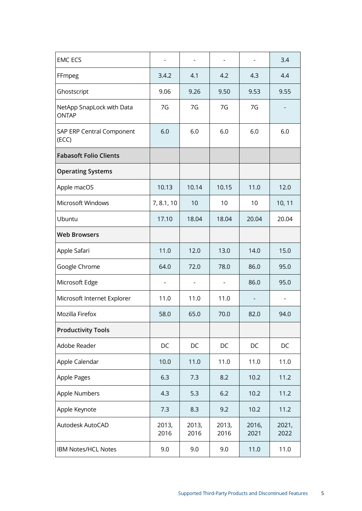| <b>EMC ECS</b>                            |               | $\overline{\phantom{0}}$ | $\overline{\phantom{a}}$ | $\overline{\phantom{0}}$ | 3.4           |
|-------------------------------------------|---------------|--------------------------|--------------------------|--------------------------|---------------|
| FFmpeg                                    | 3.4.2         | 4.1                      | 4.2                      | 4.3                      | 4.4           |
| Ghostscript                               | 9.06          | 9.26                     | 9.50                     | 9.53                     | 9.55          |
| NetApp SnapLock with Data<br><b>ONTAP</b> | 7G            | 7G                       | 7G                       | 7G                       |               |
| SAP ERP Central Component<br>(ECC)        | 6.0           | 6.0                      | 6.0                      | 6.0                      | 6.0           |
| <b>Fabasoft Folio Clients</b>             |               |                          |                          |                          |               |
| <b>Operating Systems</b>                  |               |                          |                          |                          |               |
| Apple macOS                               | 10.13         | 10.14                    | 10.15                    | 11.0                     | 12.0          |
| Microsoft Windows                         | 7, 8.1, 10    | 10                       | 10                       | 10                       | 10, 11        |
| Ubuntu                                    | 17.10         | 18.04                    | 18.04                    | 20.04                    | 20.04         |
| <b>Web Browsers</b>                       |               |                          |                          |                          |               |
| Apple Safari                              | 11.0          | 12.0                     | 13.0                     | 14.0                     | 15.0          |
| Google Chrome                             | 64.0          | 72.0                     | 78.0                     | 86.0                     | 95.0          |
| Microsoft Edge                            |               |                          |                          | 86.0                     | 95.0          |
| Microsoft Internet Explorer               | 11.0          | 11.0                     | 11.0                     |                          |               |
| Mozilla Firefox                           | 58.0          | 65.0                     | 70.0                     | 82.0                     | 94.0          |
| <b>Productivity Tools</b>                 |               |                          |                          |                          |               |
| Adobe Reader                              | DC            | DC                       | DC                       | DC                       | DC            |
| Apple Calendar                            | 10.0          | 11.0                     | 11.0                     | 11.0                     | 11.0          |
| Apple Pages                               | 6.3           | 7.3                      | 8.2                      | 10.2                     | 11.2          |
| Apple Numbers                             | 4.3           | 5.3                      | 6.2                      | 10.2                     | 11.2          |
| Apple Keynote                             | 7.3           | 8.3                      | 9.2                      | 10.2                     | 11.2          |
| Autodesk AutoCAD                          | 2013,<br>2016 | 2013,<br>2016            | 2013,<br>2016            | 2016,<br>2021            | 2021,<br>2022 |
| IBM Notes/HCL Notes                       | 9.0           | 9.0                      | 9.0                      | 11.0                     | 11.0          |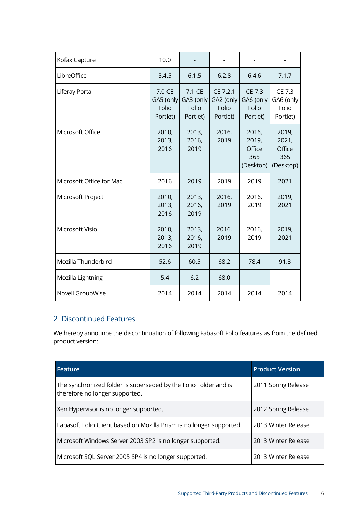| Kofax Capture            | 10.0                                     |                                          |                                            |                                              |                                              |
|--------------------------|------------------------------------------|------------------------------------------|--------------------------------------------|----------------------------------------------|----------------------------------------------|
| LibreOffice              | 5.4.5                                    | 6.1.5                                    | 6.2.8                                      | 6.4.6                                        | 7.1.7                                        |
| Liferay Portal           | 7.0 CE<br>GA5 (only<br>Folio<br>Portlet) | 7.1 CE<br>GA3 (only<br>Folio<br>Portlet) | CE 7.2.1<br>GA2 (only<br>Folio<br>Portlet) | CE 7.3<br>GA6 (only<br>Folio<br>Portlet)     | CE 7.3<br>GA6 (only<br>Folio<br>Portlet)     |
| Microsoft Office         | 2010,<br>2013,<br>2016                   | 2013,<br>2016,<br>2019                   | 2016,<br>2019                              | 2016,<br>2019,<br>Office<br>365<br>(Desktop) | 2019,<br>2021,<br>Office<br>365<br>(Desktop) |
| Microsoft Office for Mac | 2016                                     | 2019                                     | 2019                                       | 2019                                         | 2021                                         |
| Microsoft Project        | 2010,<br>2013,<br>2016                   | 2013,<br>2016,<br>2019                   | 2016,<br>2019                              | 2016,<br>2019                                | 2019,<br>2021                                |
| Microsoft Visio          | 2010,<br>2013,<br>2016                   | 2013,<br>2016,<br>2019                   | 2016,<br>2019                              | 2016,<br>2019                                | 2019,<br>2021                                |
| Mozilla Thunderbird      | 52.6                                     | 60.5                                     | 68.2                                       | 78.4                                         | 91.3                                         |
| Mozilla Lightning        | 5.4                                      | 6.2                                      | 68.0                                       |                                              |                                              |
| Novell GroupWise         | 2014                                     | 2014                                     | 2014                                       | 2014                                         | 2014                                         |

## <span id="page-5-0"></span>2 Discontinued Features

We hereby announce the discontinuation of following Fabasoft Folio features as from the defined product version:

| Feature                                                                                            | <b>Product Version</b> |
|----------------------------------------------------------------------------------------------------|------------------------|
| The synchronized folder is superseded by the Folio Folder and is<br>therefore no longer supported. | 2011 Spring Release    |
| Xen Hypervisor is no longer supported.                                                             | 2012 Spring Release    |
| Fabasoft Folio Client based on Mozilla Prism is no longer supported.                               | 2013 Winter Release    |
| Microsoft Windows Server 2003 SP2 is no longer supported.                                          | 2013 Winter Release    |
| Microsoft SQL Server 2005 SP4 is no longer supported.                                              | 2013 Winter Release    |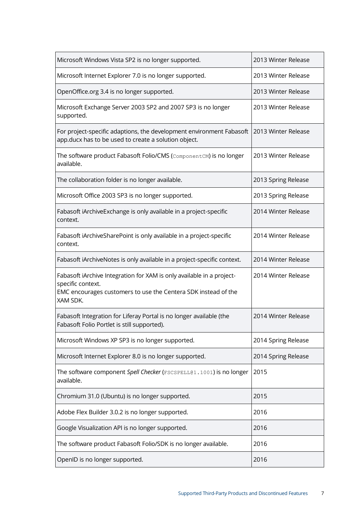| Microsoft Windows Vista SP2 is no longer supported.                                                                                                                      | 2013 Winter Release |
|--------------------------------------------------------------------------------------------------------------------------------------------------------------------------|---------------------|
| Microsoft Internet Explorer 7.0 is no longer supported.                                                                                                                  | 2013 Winter Release |
| OpenOffice.org 3.4 is no longer supported.                                                                                                                               | 2013 Winter Release |
| Microsoft Exchange Server 2003 SP2 and 2007 SP3 is no longer<br>supported.                                                                                               | 2013 Winter Release |
| For project-specific adaptions, the development environment Fabasoft<br>app.ducx has to be used to create a solution object.                                             | 2013 Winter Release |
| The software product Fabasoft Folio/CMS (ComponentCM) is no longer<br>available.                                                                                         | 2013 Winter Release |
| The collaboration folder is no longer available.                                                                                                                         | 2013 Spring Release |
| Microsoft Office 2003 SP3 is no longer supported.                                                                                                                        | 2013 Spring Release |
| Fabasoft iArchiveExchange is only available in a project-specific<br>context.                                                                                            | 2014 Winter Release |
| Fabasoft iArchiveSharePoint is only available in a project-specific<br>context.                                                                                          | 2014 Winter Release |
| Fabasoft iArchiveNotes is only available in a project-specific context.                                                                                                  | 2014 Winter Release |
| Fabasoft iArchive Integration for XAM is only available in a project-<br>specific context.<br>EMC encourages customers to use the Centera SDK instead of the<br>XAM SDK. | 2014 Winter Release |
| Fabasoft Integration for Liferay Portal is no longer available (the<br>Fabasoft Folio Portlet is still supported).                                                       | 2014 Winter Release |
| Microsoft Windows XP SP3 is no longer supported.                                                                                                                         | 2014 Spring Release |
| Microsoft Internet Explorer 8.0 is no longer supported.                                                                                                                  | 2014 Spring Release |
| The software component Spell Checker (FSCSPELL@1.1001) is no longer<br>available.                                                                                        | 2015                |
| Chromium 31.0 (Ubuntu) is no longer supported.                                                                                                                           | 2015                |
| Adobe Flex Builder 3.0.2 is no longer supported.                                                                                                                         | 2016                |
| Google Visualization API is no longer supported.                                                                                                                         | 2016                |
| The software product Fabasoft Folio/SDK is no longer available.                                                                                                          | 2016                |
| OpenID is no longer supported.                                                                                                                                           | 2016                |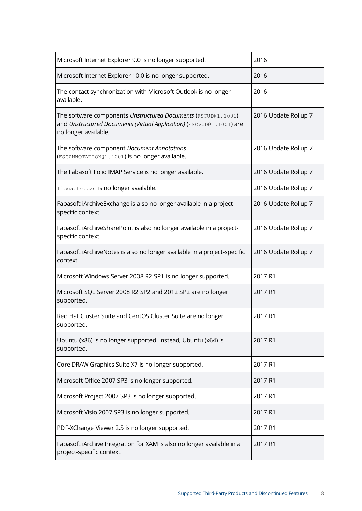| Microsoft Internet Explorer 9.0 is no longer supported.                                                                                                       | 2016                 |
|---------------------------------------------------------------------------------------------------------------------------------------------------------------|----------------------|
| Microsoft Internet Explorer 10.0 is no longer supported.                                                                                                      | 2016                 |
| The contact synchronization with Microsoft Outlook is no longer<br>available.                                                                                 | 2016                 |
| The software components Unstructured Documents (FSCUD@1.1001)<br>and Unstructured Documents (Virtual Application) (FSCVUD@1.1001) are<br>no longer available. | 2016 Update Rollup 7 |
| The software component Document Annotations<br>(FSCANNOTATION@1.1001) is no longer available.                                                                 | 2016 Update Rollup 7 |
| The Fabasoft Folio IMAP Service is no longer available.                                                                                                       | 2016 Update Rollup 7 |
| liccache.exe is no longer available.                                                                                                                          | 2016 Update Rollup 7 |
| Fabasoft iArchiveExchange is also no longer available in a project-<br>specific context.                                                                      | 2016 Update Rollup 7 |
| Fabasoft iArchiveSharePoint is also no longer available in a project-<br>specific context.                                                                    | 2016 Update Rollup 7 |
| Fabasoft iArchiveNotes is also no longer available in a project-specific<br>context.                                                                          | 2016 Update Rollup 7 |
| Microsoft Windows Server 2008 R2 SP1 is no longer supported.                                                                                                  | 2017 R1              |
| Microsoft SQL Server 2008 R2 SP2 and 2012 SP2 are no longer<br>supported.                                                                                     | 2017 R1              |
| Red Hat Cluster Suite and CentOS Cluster Suite are no longer<br>supported.                                                                                    | 2017 R1              |
| Ubuntu (x86) is no longer supported. Instead, Ubuntu (x64) is<br>supported.                                                                                   | 2017 R1              |
| CorelDRAW Graphics Suite X7 is no longer supported.                                                                                                           | 2017 R1              |
| Microsoft Office 2007 SP3 is no longer supported.                                                                                                             | 2017 R1              |
| Microsoft Project 2007 SP3 is no longer supported.                                                                                                            | 2017 R1              |
| Microsoft Visio 2007 SP3 is no longer supported.                                                                                                              | 2017 R1              |
| PDF-XChange Viewer 2.5 is no longer supported.                                                                                                                | 2017 R1              |
| Fabasoft iArchive Integration for XAM is also no longer available in a<br>project-specific context.                                                           | 2017 R1              |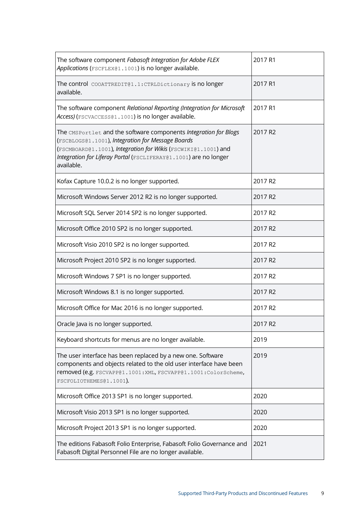| The software component Fabasoft Integration for Adobe FLEX<br>Applications (FSCFLEX@1.1001) is no longer available.                                                                                                                                                       | 2017 R1             |
|---------------------------------------------------------------------------------------------------------------------------------------------------------------------------------------------------------------------------------------------------------------------------|---------------------|
| The control COOATTREDIT@1.1:CTRLDictionary is no longer<br>available.                                                                                                                                                                                                     | 2017 R1             |
| The software component Relational Reporting (Integration for Microsoft<br>Access) (FSCVACCESS@1.1001) is no longer available.                                                                                                                                             | 2017 R1             |
| The CMSPortlet and the software components Integration for Blogs<br>(FSCBLOGS@1.1001), Integration for Message Boards<br>(FSCMBOARD@1.1001), Integration for Wikis (FSCWIKI@1.1001) and<br>Integration for Liferay Portal (FSCLIFERAY@1.1001) are no longer<br>available. | 2017 R2             |
| Kofax Capture 10.0.2 is no longer supported.                                                                                                                                                                                                                              | 2017 R2             |
| Microsoft Windows Server 2012 R2 is no longer supported.                                                                                                                                                                                                                  | 2017 R <sub>2</sub> |
| Microsoft SQL Server 2014 SP2 is no longer supported.                                                                                                                                                                                                                     | 2017 R2             |
| Microsoft Office 2010 SP2 is no longer supported.                                                                                                                                                                                                                         | 2017 R2             |
| Microsoft Visio 2010 SP2 is no longer supported.                                                                                                                                                                                                                          | 2017 R2             |
| Microsoft Project 2010 SP2 is no longer supported.                                                                                                                                                                                                                        | 2017 R <sub>2</sub> |
| Microsoft Windows 7 SP1 is no longer supported.                                                                                                                                                                                                                           | 2017 R2             |
| Microsoft Windows 8.1 is no longer supported.                                                                                                                                                                                                                             | 2017 R2             |
| Microsoft Office for Mac 2016 is no longer supported.                                                                                                                                                                                                                     | 2017 R2             |
| Oracle Java is no longer supported.                                                                                                                                                                                                                                       | 2017 R2             |
| Keyboard shortcuts for menus are no longer available.                                                                                                                                                                                                                     | 2019                |
| The user interface has been replaced by a new one. Software<br>components and objects related to the old user interface have been<br>removed (e.g. FSCVAPP@1.1001:XML, FSCVAPP@1.1001:ColorScheme,<br>FSCFOLIOTHEMES@1.1001).                                             | 2019                |
| Microsoft Office 2013 SP1 is no longer supported.                                                                                                                                                                                                                         | 2020                |
| Microsoft Visio 2013 SP1 is no longer supported.                                                                                                                                                                                                                          | 2020                |
| Microsoft Project 2013 SP1 is no longer supported.                                                                                                                                                                                                                        | 2020                |
| The editions Fabasoft Folio Enterprise, Fabasoft Folio Governance and<br>Fabasoft Digital Personnel File are no longer available.                                                                                                                                         | 2021                |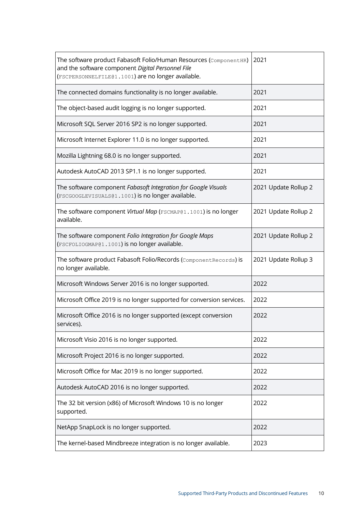| The software product Fabasoft Folio/Human Resources (ComponentHR)<br>and the software component Digital Personnel File<br>(FSCPERSONNELFILE@1.1001) are no longer available. | 2021                 |
|------------------------------------------------------------------------------------------------------------------------------------------------------------------------------|----------------------|
| The connected domains functionality is no longer available.                                                                                                                  | 2021                 |
| The object-based audit logging is no longer supported.                                                                                                                       | 2021                 |
| Microsoft SQL Server 2016 SP2 is no longer supported.                                                                                                                        | 2021                 |
| Microsoft Internet Explorer 11.0 is no longer supported.                                                                                                                     | 2021                 |
| Mozilla Lightning 68.0 is no longer supported.                                                                                                                               | 2021                 |
| Autodesk AutoCAD 2013 SP1.1 is no longer supported.                                                                                                                          | 2021                 |
| The software component Fabasoft Integration for Google Visuals<br>(FSCGOOGLEVISUALS@1.1001) is no longer available.                                                          | 2021 Update Rollup 2 |
| The software component Virtual Map (FSCMAP@1.1001) is no longer<br>available.                                                                                                | 2021 Update Rollup 2 |
| The software component Folio Integration for Google Maps<br>(FSCFOLIOGMAP@1.1001) is no longer available.                                                                    | 2021 Update Rollup 2 |
| The software product Fabasoft Folio/Records (Component Records) is<br>no longer available.                                                                                   | 2021 Update Rollup 3 |
| Microsoft Windows Server 2016 is no longer supported.                                                                                                                        | 2022                 |
| Microsoft Office 2019 is no longer supported for conversion services.                                                                                                        | 2022                 |
| Microsoft Office 2016 is no longer supported (except conversion<br>services).                                                                                                | 2022                 |
| Microsoft Visio 2016 is no longer supported.                                                                                                                                 | 2022                 |
| Microsoft Project 2016 is no longer supported.                                                                                                                               | 2022                 |
| Microsoft Office for Mac 2019 is no longer supported.                                                                                                                        | 2022                 |
| Autodesk AutoCAD 2016 is no longer supported.                                                                                                                                | 2022                 |
| The 32 bit version (x86) of Microsoft Windows 10 is no longer<br>supported.                                                                                                  | 2022                 |
| NetApp SnapLock is no longer supported.                                                                                                                                      | 2022                 |
| The kernel-based Mindbreeze integration is no longer available.                                                                                                              | 2023                 |